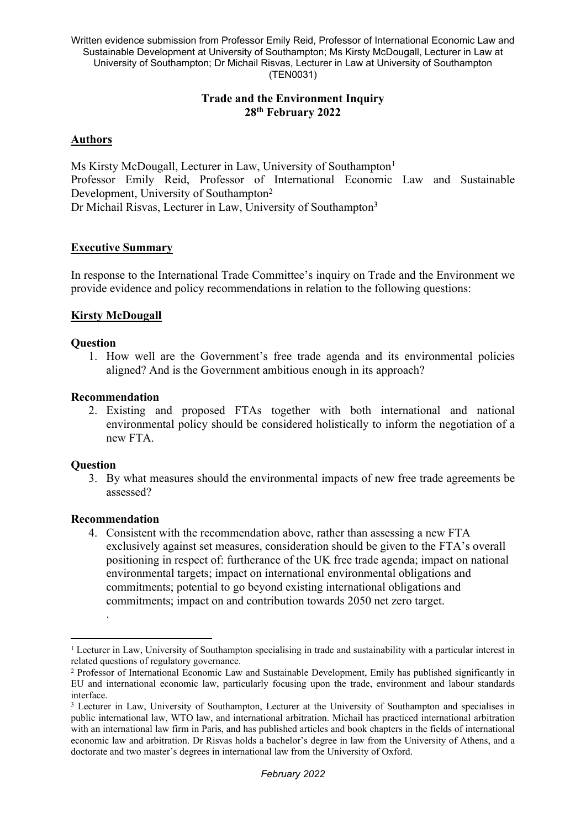# **Trade and the Environment Inquiry 28th February 2022**

# **Authors**

Ms Kirsty McDougall, Lecturer in Law, University of Southampton<sup>1</sup> Professor Emily Reid, Professor of International Economic Law and Sustainable Development, University of Southampton<sup>2</sup> Dr Michail Risvas, Lecturer in Law, University of Southampton<sup>3</sup>

# **Executive Summary**

In response to the International Trade Committee's inquiry on Trade and the Environment we provide evidence and policy recommendations in relation to the following questions:

# **Kirsty McDougall**

## **Question**

1. How well are the Government's free trade agenda and its environmental policies aligned? And is the Government ambitious enough in its approach?

## **Recommendation**

2. Existing and proposed FTAs together with both international and national environmental policy should be considered holistically to inform the negotiation of a new FTA.

## **Question**

3. By what measures should the environmental impacts of new free trade agreements be assessed?

## **Recommendation**

.

4. Consistent with the recommendation above, rather than assessing a new FTA exclusively against set measures, consideration should be given to the FTA's overall positioning in respect of: furtherance of the UK free trade agenda; impact on national environmental targets; impact on international environmental obligations and commitments; potential to go beyond existing international obligations and commitments; impact on and contribution towards 2050 net zero target.

<sup>1</sup> Lecturer in Law, University of Southampton specialising in trade and sustainability with a particular interest in related questions of regulatory governance.

<sup>2</sup> Professor of International Economic Law and Sustainable Development, Emily has published significantly in EU and international economic law, particularly focusing upon the trade, environment and labour standards interface.

<sup>&</sup>lt;sup>3</sup> Lecturer in Law, University of Southampton, Lecturer at the University of Southampton and specialises in public international law, WTO law, and international arbitration. Michail has practiced international arbitration with an international law firm in Paris, and has published articles and book chapters in the fields of international economic law and arbitration. Dr Risvas holds a bachelor's degree in law from the University of Athens, and a doctorate and two master's degrees in international law from the University of Oxford.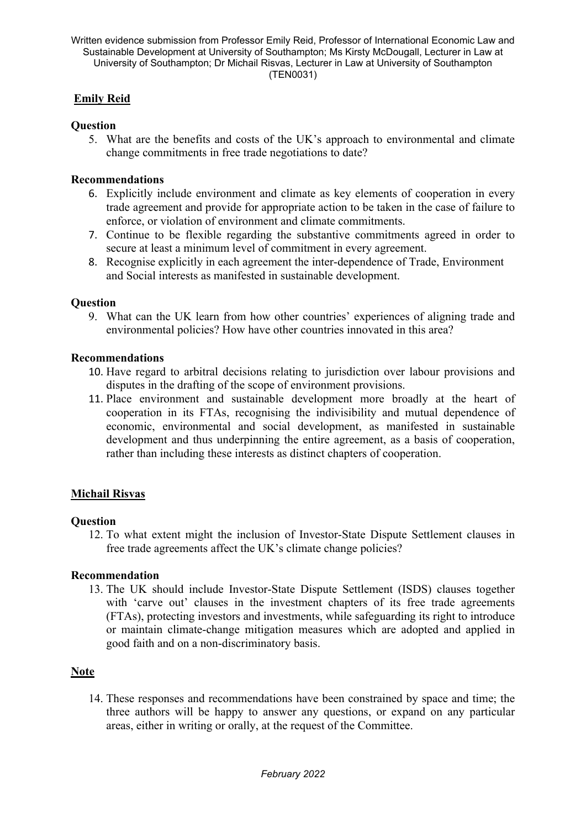# **Emily Reid**

## **Question**

5. What are the benefits and costs of the UK's approach to environmental and climate change commitments in free trade negotiations to date?

# **Recommendations**

- 6. Explicitly include environment and climate as key elements of cooperation in every trade agreement and provide for appropriate action to be taken in the case of failure to enforce, or violation of environment and climate commitments.
- 7. Continue to be flexible regarding the substantive commitments agreed in order to secure at least a minimum level of commitment in every agreement.
- 8. Recognise explicitly in each agreement the inter-dependence of Trade, Environment and Social interests as manifested in sustainable development.

# **Question**

9. What can the UK learn from how other countries' experiences of aligning trade and environmental policies? How have other countries innovated in this area?

# **Recommendations**

- 10. Have regard to arbitral decisions relating to jurisdiction over labour provisions and disputes in the drafting of the scope of environment provisions.
- 11. Place environment and sustainable development more broadly at the heart of cooperation in its FTAs, recognising the indivisibility and mutual dependence of economic, environmental and social development, as manifested in sustainable development and thus underpinning the entire agreement, as a basis of cooperation, rather than including these interests as distinct chapters of cooperation.

# **Michail Risvas**

## **Question**

12. To what extent might the inclusion of Investor-State Dispute Settlement clauses in free trade agreements affect the UK's climate change policies?

## **Recommendation**

13. The UK should include Investor-State Dispute Settlement (ISDS) clauses together with 'carve out' clauses in the investment chapters of its free trade agreements (FTAs), protecting investors and investments, while safeguarding its right to introduce or maintain climate-change mitigation measures which are adopted and applied in good faith and on a non-discriminatory basis.

# **Note**

14. These responses and recommendations have been constrained by space and time; the three authors will be happy to answer any questions, or expand on any particular areas, either in writing or orally, at the request of the Committee.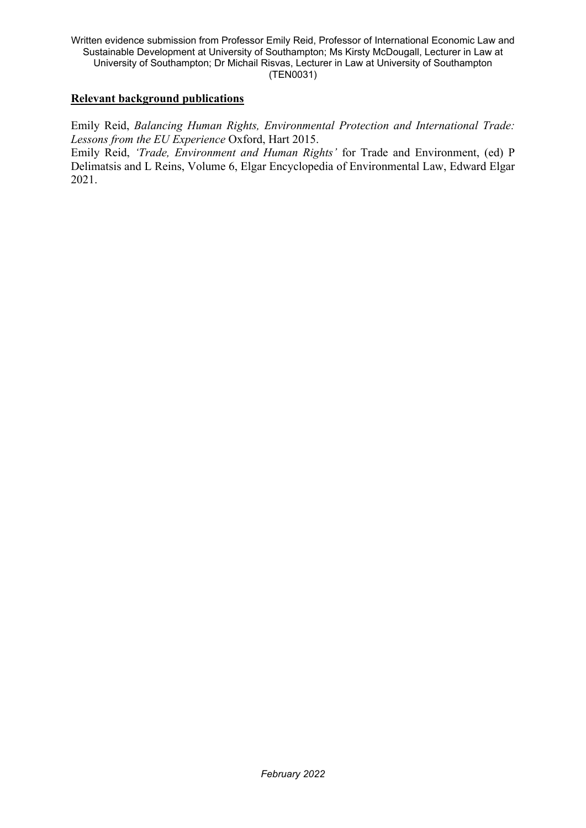## **Relevant background publications**

Emily Reid, *Balancing Human Rights, Environmental Protection and International Trade: Lessons from the EU Experience* Oxford, Hart 2015.

Emily Reid, *'Trade, Environment and Human Rights'* for Trade and Environment, (ed) P Delimatsis and L Reins, Volume 6, Elgar Encyclopedia of Environmental Law, Edward Elgar 2021.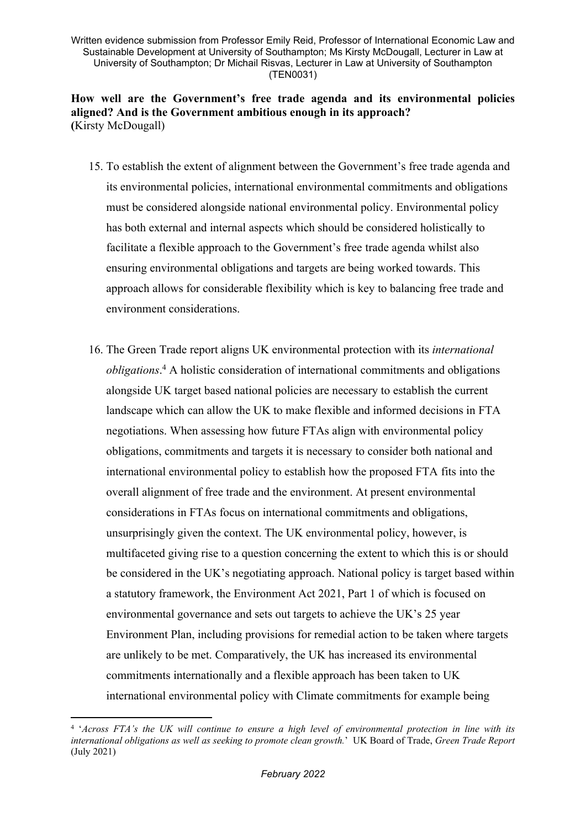**How well are the Government's free trade agenda and its environmental policies aligned? And is the Government ambitious enough in its approach? (**Kirsty McDougall)

- 15. To establish the extent of alignment between the Government's free trade agenda and its environmental policies, international environmental commitments and obligations must be considered alongside national environmental policy. Environmental policy has both external and internal aspects which should be considered holistically to facilitate a flexible approach to the Government's free trade agenda whilst also ensuring environmental obligations and targets are being worked towards. This approach allows for considerable flexibility which is key to balancing free trade and environment considerations.
- 16. The Green Trade report aligns UK environmental protection with its *international obligations*. <sup>4</sup> A holistic consideration of international commitments and obligations alongside UK target based national policies are necessary to establish the current landscape which can allow the UK to make flexible and informed decisions in FTA negotiations. When assessing how future FTAs align with environmental policy obligations, commitments and targets it is necessary to consider both national and international environmental policy to establish how the proposed FTA fits into the overall alignment of free trade and the environment. At present environmental considerations in FTAs focus on international commitments and obligations, unsurprisingly given the context. The UK environmental policy, however, is multifaceted giving rise to a question concerning the extent to which this is or should be considered in the UK's negotiating approach. National policy is target based within a statutory framework, the Environment Act 2021, Part 1 of which is focused on environmental governance and sets out targets to achieve the UK's 25 year Environment Plan, including provisions for remedial action to be taken where targets are unlikely to be met. Comparatively, the UK has increased its environmental commitments internationally and a flexible approach has been taken to UK international environmental policy with Climate commitments for example being

<sup>&</sup>lt;sup>4</sup> 'Across FTA's the UK will continue to ensure a high level of environmental protection in line with its *international obligations as well as seeking to promote clean growth.*' UK Board of Trade, *Green Trade Report* (July 2021)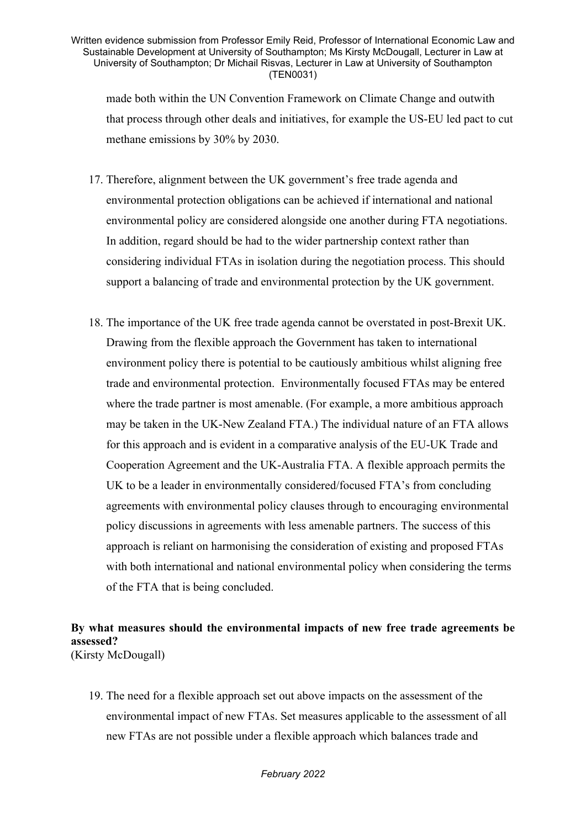made both within the UN Convention Framework on Climate Change and outwith that process through other deals and initiatives, for example the US-EU led pact to cut methane emissions by 30% by 2030.

- 17. Therefore, alignment between the UK government's free trade agenda and environmental protection obligations can be achieved if international and national environmental policy are considered alongside one another during FTA negotiations. In addition, regard should be had to the wider partnership context rather than considering individual FTAs in isolation during the negotiation process. This should support a balancing of trade and environmental protection by the UK government.
- 18. The importance of the UK free trade agenda cannot be overstated in post-Brexit UK. Drawing from the flexible approach the Government has taken to international environment policy there is potential to be cautiously ambitious whilst aligning free trade and environmental protection. Environmentally focused FTAs may be entered where the trade partner is most amenable. (For example, a more ambitious approach may be taken in the UK-New Zealand FTA.) The individual nature of an FTA allows for this approach and is evident in a comparative analysis of the EU-UK Trade and Cooperation Agreement and the UK-Australia FTA. A flexible approach permits the UK to be a leader in environmentally considered/focused FTA's from concluding agreements with environmental policy clauses through to encouraging environmental policy discussions in agreements with less amenable partners. The success of this approach is reliant on harmonising the consideration of existing and proposed FTAs with both international and national environmental policy when considering the terms of the FTA that is being concluded.

## **By what measures should the environmental impacts of new free trade agreements be assessed?** (Kirsty McDougall)

19. The need for a flexible approach set out above impacts on the assessment of the environmental impact of new FTAs. Set measures applicable to the assessment of all new FTAs are not possible under a flexible approach which balances trade and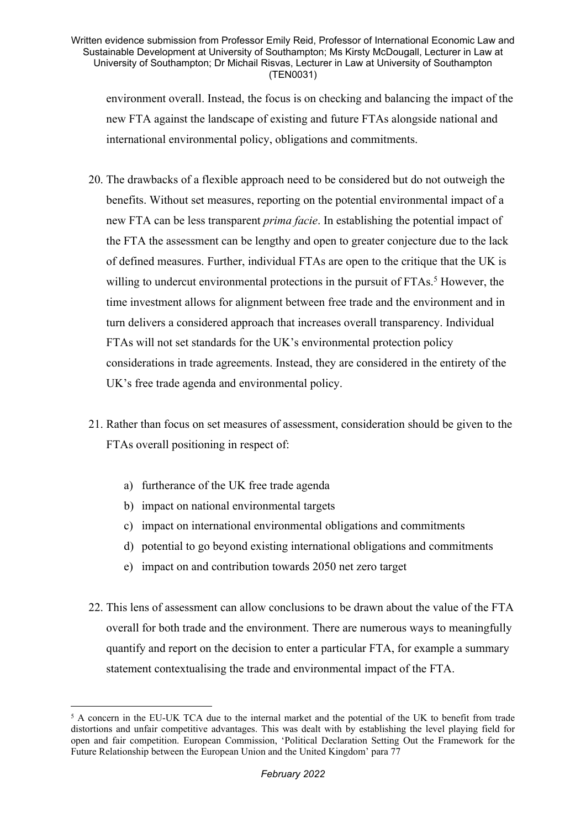environment overall. Instead, the focus is on checking and balancing the impact of the new FTA against the landscape of existing and future FTAs alongside national and international environmental policy, obligations and commitments.

- 20. The drawbacks of a flexible approach need to be considered but do not outweigh the benefits. Without set measures, reporting on the potential environmental impact of a new FTA can be less transparent *prima facie*. In establishing the potential impact of the FTA the assessment can be lengthy and open to greater conjecture due to the lack of defined measures. Further, individual FTAs are open to the critique that the UK is willing to undercut environmental protections in the pursuit of FTAs.<sup>5</sup> However, the time investment allows for alignment between free trade and the environment and in turn delivers a considered approach that increases overall transparency. Individual FTAs will not set standards for the UK's environmental protection policy considerations in trade agreements. Instead, they are considered in the entirety of the UK's free trade agenda and environmental policy.
- 21. Rather than focus on set measures of assessment, consideration should be given to the FTAs overall positioning in respect of:
	- a) furtherance of the UK free trade agenda
	- b) impact on national environmental targets
	- c) impact on international environmental obligations and commitments
	- d) potential to go beyond existing international obligations and commitments
	- e) impact on and contribution towards 2050 net zero target
- 22. This lens of assessment can allow conclusions to be drawn about the value of the FTA overall for both trade and the environment. There are numerous ways to meaningfully quantify and report on the decision to enter a particular FTA, for example a summary statement contextualising the trade and environmental impact of the FTA.

<sup>5</sup> A concern in the EU-UK TCA due to the internal market and the potential of the UK to benefit from trade distortions and unfair competitive advantages. This was dealt with by establishing the level playing field for open and fair competition. European Commission, 'Political Declaration Setting Out the Framework for the Future Relationship between the European Union and the United Kingdom' para 77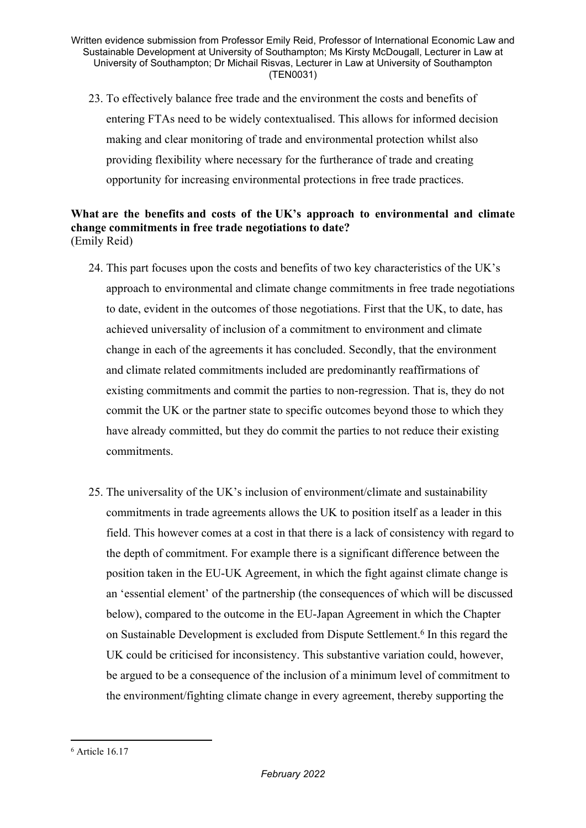23. To effectively balance free trade and the environment the costs and benefits of entering FTAs need to be widely contextualised. This allows for informed decision making and clear monitoring of trade and environmental protection whilst also providing flexibility where necessary for the furtherance of trade and creating opportunity for increasing environmental protections in free trade practices.

# **What are the benefits and costs of the UK's approach to environmental and climate change commitments in free trade negotiations to date?** (Emily Reid)

- 24. This part focuses upon the costs and benefits of two key characteristics of the UK's approach to environmental and climate change commitments in free trade negotiations to date, evident in the outcomes of those negotiations. First that the UK, to date, has achieved universality of inclusion of a commitment to environment and climate change in each of the agreements it has concluded. Secondly, that the environment and climate related commitments included are predominantly reaffirmations of existing commitments and commit the parties to non-regression. That is, they do not commit the UK or the partner state to specific outcomes beyond those to which they have already committed, but they do commit the parties to not reduce their existing commitments.
- 25. The universality of the UK's inclusion of environment/climate and sustainability commitments in trade agreements allows the UK to position itself as a leader in this field. This however comes at a cost in that there is a lack of consistency with regard to the depth of commitment. For example there is a significant difference between the position taken in the EU-UK Agreement, in which the fight against climate change is an 'essential element' of the partnership (the consequences of which will be discussed below), compared to the outcome in the EU-Japan Agreement in which the Chapter on Sustainable Development is excluded from Dispute Settlement.<sup>6</sup> In this regard the UK could be criticised for inconsistency. This substantive variation could, however, be argued to be a consequence of the inclusion of a minimum level of commitment to the environment/fighting climate change in every agreement, thereby supporting the

<sup>6</sup> Article 16.17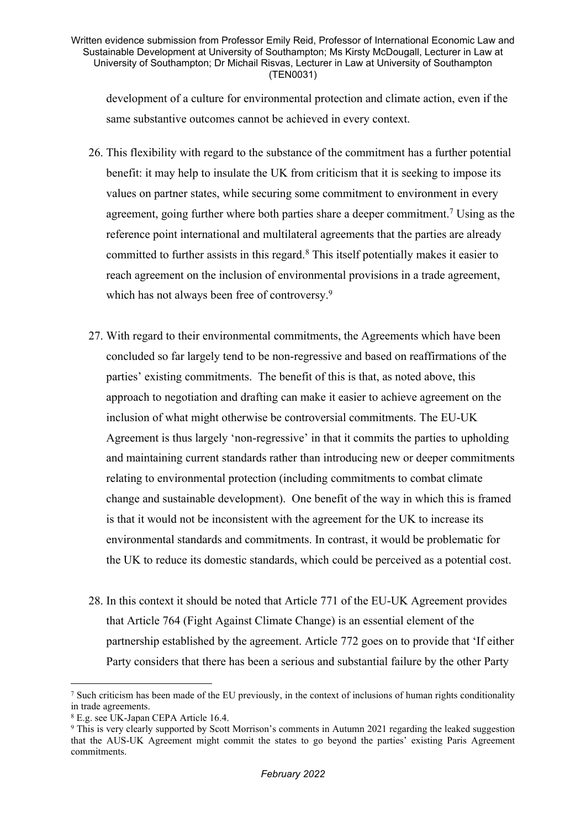development of a culture for environmental protection and climate action, even if the same substantive outcomes cannot be achieved in every context.

- 26. This flexibility with regard to the substance of the commitment has a further potential benefit: it may help to insulate the UK from criticism that it is seeking to impose its values on partner states, while securing some commitment to environment in every agreement, going further where both parties share a deeper commitment.<sup>7</sup> Using as the reference point international and multilateral agreements that the parties are already committed to further assists in this regard.<sup>8</sup> This itself potentially makes it easier to reach agreement on the inclusion of environmental provisions in a trade agreement, which has not always been free of controversy.<sup>9</sup>
- 27. With regard to their environmental commitments, the Agreements which have been concluded so far largely tend to be non-regressive and based on reaffirmations of the parties' existing commitments. The benefit of this is that, as noted above, this approach to negotiation and drafting can make it easier to achieve agreement on the inclusion of what might otherwise be controversial commitments. The EU-UK Agreement is thus largely 'non-regressive' in that it commits the parties to upholding and maintaining current standards rather than introducing new or deeper commitments relating to environmental protection (including commitments to combat climate change and sustainable development). One benefit of the way in which this is framed is that it would not be inconsistent with the agreement for the UK to increase its environmental standards and commitments. In contrast, it would be problematic for the UK to reduce its domestic standards, which could be perceived as a potential cost.
- 28. In this context it should be noted that Article 771 of the EU-UK Agreement provides that Article 764 (Fight Against Climate Change) is an essential element of the partnership established by the agreement. Article 772 goes on to provide that 'If either Party considers that there has been a serious and substantial failure by the other Party

<sup>7</sup> Such criticism has been made of the EU previously, in the context of inclusions of human rights conditionality in trade agreements.

<sup>8</sup> E.g. see UK-Japan CEPA Article 16.4.

<sup>9</sup> This is very clearly supported by Scott Morrison's comments in Autumn 2021 regarding the leaked suggestion that the AUS-UK Agreement might commit the states to go beyond the parties' existing Paris Agreement commitments.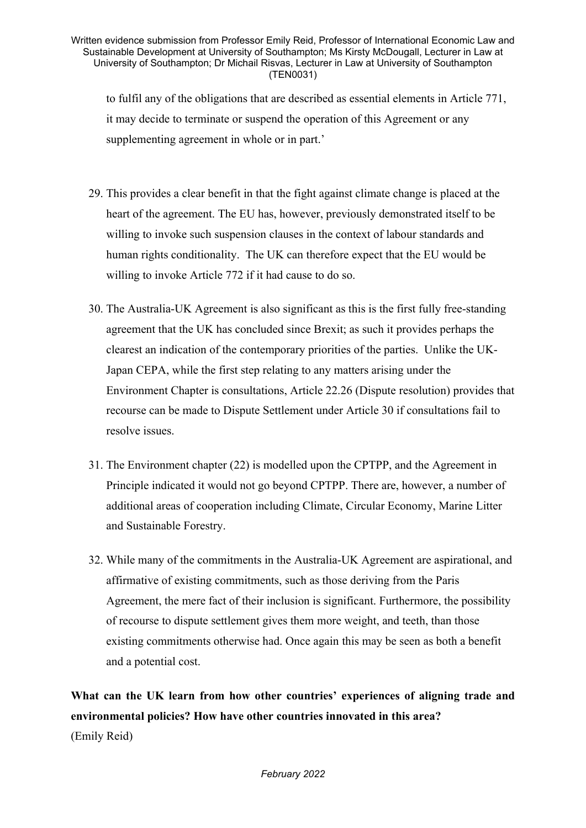to fulfil any of the obligations that are described as essential elements in Article 771, it may decide to terminate or suspend the operation of this Agreement or any supplementing agreement in whole or in part.'

- 29. This provides a clear benefit in that the fight against climate change is placed at the heart of the agreement. The EU has, however, previously demonstrated itself to be willing to invoke such suspension clauses in the context of labour standards and human rights conditionality. The UK can therefore expect that the EU would be willing to invoke Article 772 if it had cause to do so.
- 30. The Australia-UK Agreement is also significant as this is the first fully free-standing agreement that the UK has concluded since Brexit; as such it provides perhaps the clearest an indication of the contemporary priorities of the parties. Unlike the UK-Japan CEPA, while the first step relating to any matters arising under the Environment Chapter is consultations, Article 22.26 (Dispute resolution) provides that recourse can be made to Dispute Settlement under Article 30 if consultations fail to resolve issues.
- 31. The Environment chapter (22) is modelled upon the CPTPP, and the Agreement in Principle indicated it would not go beyond CPTPP. There are, however, a number of additional areas of cooperation including Climate, Circular Economy, Marine Litter and Sustainable Forestry.
- 32. While many of the commitments in the Australia-UK Agreement are aspirational, and affirmative of existing commitments, such as those deriving from the Paris Agreement, the mere fact of their inclusion is significant. Furthermore, the possibility of recourse to dispute settlement gives them more weight, and teeth, than those existing commitments otherwise had. Once again this may be seen as both a benefit and a potential cost.

**What can the UK learn from how other countries' experiences of aligning trade and environmental policies? How have other countries innovated in this area?** (Emily Reid)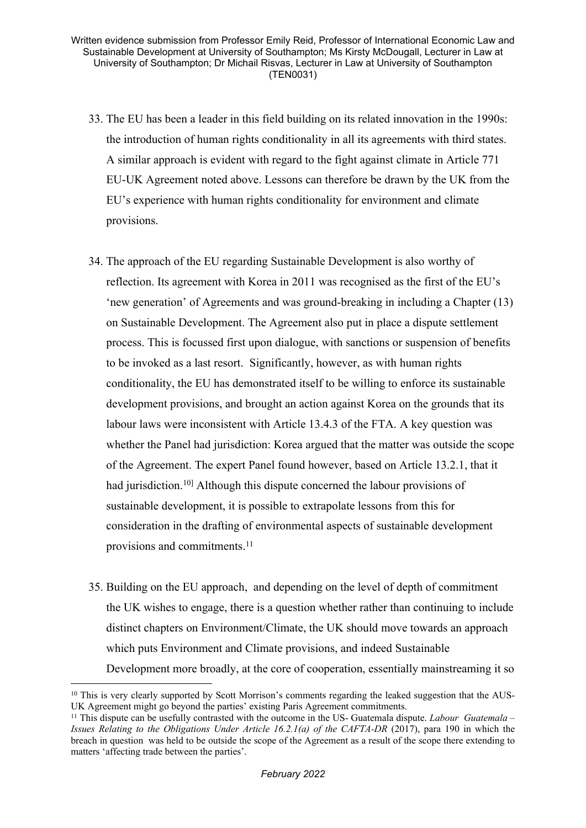- 33. The EU has been a leader in this field building on its related innovation in the 1990s: the introduction of human rights conditionality in all its agreements with third states. A similar approach is evident with regard to the fight against climate in Article 771 EU-UK Agreement noted above. Lessons can therefore be drawn by the UK from the EU's experience with human rights conditionality for environment and climate provisions.
- 34. The approach of the EU regarding Sustainable Development is also worthy of reflection. Its agreement with Korea in 2011 was recognised as the first of the EU's 'new generation' of Agreements and was ground-breaking in including a Chapter (13) on Sustainable Development. The Agreement also put in place a dispute settlement process. This is focussed first upon dialogue, with sanctions or suspension of benefits to be invoked as a last resort. Significantly, however, as with human rights conditionality, the EU has demonstrated itself to be willing to enforce its sustainable development provisions, and brought an action against Korea on the grounds that its labour laws were inconsistent with Article 13.4.3 of the FTA. A key question was whether the Panel had jurisdiction: Korea argued that the matter was outside the scope of the Agreement. The expert Panel found however, based on Article 13.2.1, that it had jurisdiction.<sup>10[\]](https://ukc-word-edit.officeapps.live.com/we/wordeditorframe.aspx?ui=en-US&rs=en-US&wopisrc=https%3A%2F%2Fsotonac-my.sharepoint.com%2Fpersonal%2Fwd1v20_soton_ac_uk%2F_vti_bin%2Fwopi.ashx%2Ffiles%2Fa2479bed5e27478b8805e117b43c6ddb&wdlor=c627B233B-94EA-4039-AC76-B2D274220802&wdenableroaming=1&mscc=1&wdodb=1&hid=9FD624A0-6014-3000-EC2A-4DD57B471563&wdorigin=Other&jsapi=1&jsapiver=v1&newsession=1&corrid=2422c8f8-205b-4091-8df1-13080f54fece&usid=2422c8f8-205b-4091-8df1-13080f54fece&sftc=1&mtf=1&sfp=1&instantedit=1&wopicomplete=1&wdredirectionreason=Unified_SingleFlush&rct=Medium&ctp=LeastProtected#_ftn1)</sup> Although this dispute concerned the labour provisions of sustainable development, it is possible to extrapolate lessons from this for consideration in the drafting of environmental aspects of sustainable development provisions and commitments.<sup>11</sup>
- 35. Building on the EU approach, and depending on the level of depth of commitment the UK wishes to engage, there is a question whether rather than continuing to include distinct chapters on Environment/Climate, the UK should move towards an approach which puts Environment and Climate provisions, and indeed Sustainable Development more broadly, at the core of cooperation, essentially mainstreaming it so

<sup>&</sup>lt;sup>10</sup> This is very clearly supported by Scott Morrison's comments regarding the leaked suggestion that the AUS-UK Agreement might go beyond the parties' existing Paris Agreement commitments.

<sup>11</sup> This dispute can be usefully contrasted with the outcome in the US- Guatemala dispute. *Labour Guatemala – Issues Relating to the Obligations Under Article 16.2.1(a) of the CAFTA-DR* (2017), para 190 in which the breach in question was held to be outside the scope of the Agreement as a result of the scope there extending to matters 'affecting trade between the parties'.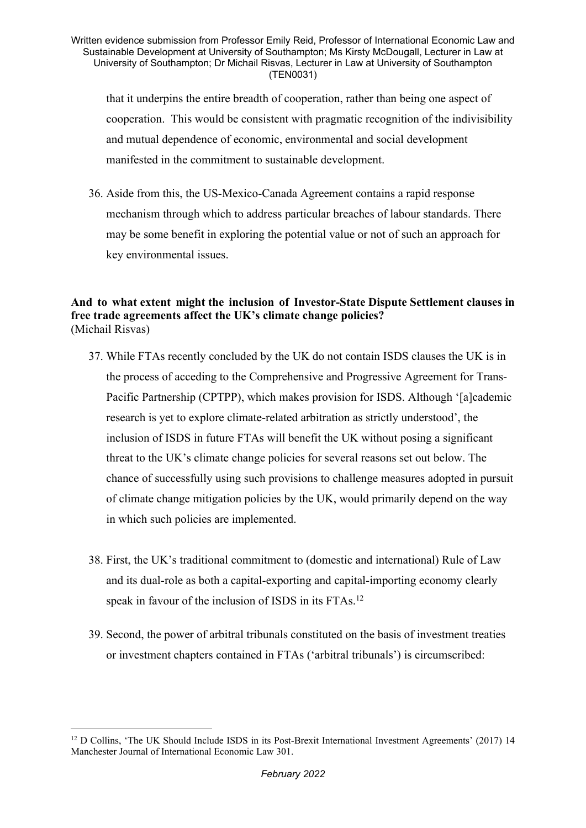that it underpins the entire breadth of cooperation, rather than being one aspect of cooperation. This would be consistent with pragmatic recognition of the indivisibility and mutual dependence of economic, environmental and social development manifested in the commitment to sustainable development.

36. Aside from this, the US-Mexico-Canada Agreement contains a rapid response mechanism through which to address particular breaches of labour standards. There may be some benefit in exploring the potential value or not of such an approach for key environmental issues.

# **And to what extent might the inclusion of Investor-State Dispute Settlement clauses in free trade agreements affect the UK's climate change policies?** (Michail Risvas)

- 37. While FTAs recently concluded by the UK do not contain ISDS clauses the UK is in the process of acceding to the Comprehensive and Progressive Agreement for Trans-Pacific Partnership (CPTPP), which makes provision for ISDS. Although '[a]cademic research is yet to explore climate-related arbitration as strictly understood', the inclusion of ISDS in future FTAs will benefit the UK without posing a significant threat to the UK's climate change policies for several reasons set out below. The chance of successfully using such provisions to challenge measures adopted in pursuit of climate change mitigation policies by the UK, would primarily depend on the way in which such policies are implemented.
- 38. First, the UK's traditional commitment to (domestic and international) Rule of Law and its dual-role as both a capital-exporting and capital-importing economy clearly speak in favour of the inclusion of ISDS in its FTAs.<sup>12</sup>
- 39. Second, the power of arbitral tribunals constituted on the basis of investment treaties or investment chapters contained in FTAs ('arbitral tribunals') is circumscribed:

<sup>12</sup> D Collins, 'The UK Should Include ISDS in its Post-Brexit International Investment Agreements' (2017) 14 Manchester Journal of International Economic Law 301.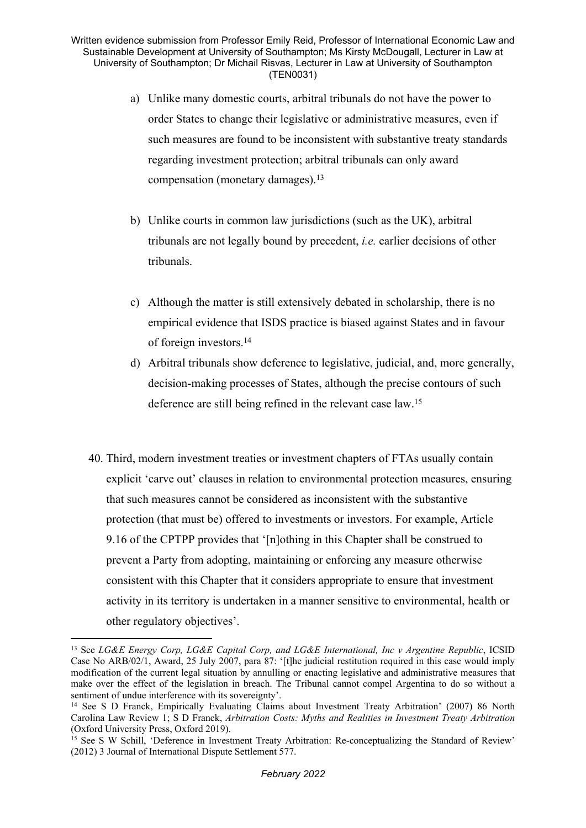- a) Unlike many domestic courts, arbitral tribunals do not have the power to order States to change their legislative or administrative measures, even if such measures are found to be inconsistent with substantive treaty standards regarding investment protection; arbitral tribunals can only award compensation (monetary damages).<sup>13</sup>
- b) Unlike courts in common law jurisdictions (such as the UK), arbitral tribunals are not legally bound by precedent, *i.e.* earlier decisions of other tribunals.
- c) Although the matter is still extensively debated in scholarship, there is no empirical evidence that ISDS practice is biased against States and in favour of foreign investors.<sup>14</sup>
- d) Arbitral tribunals show deference to legislative, judicial, and, more generally, decision-making processes of States, although the precise contours of such deference are still being refined in the relevant case law.<sup>15</sup>
- 40. Third, modern investment treaties or investment chapters of FTAs usually contain explicit 'carve out' clauses in relation to environmental protection measures, ensuring that such measures cannot be considered as inconsistent with the substantive protection (that must be) offered to investments or investors. For example, Article 9.16 of the CPTPP provides that '[n]othing in this Chapter shall be construed to prevent a Party from adopting, maintaining or enforcing any measure otherwise consistent with this Chapter that it considers appropriate to ensure that investment activity in its territory is undertaken in a manner sensitive to environmental, health or other regulatory objectives'.

<sup>13</sup> See *LG&E Energy Corp, LG&E Capital Corp, and LG&E International, Inc v Argentine Republic*, ICSID Case No ARB/02/1, Award, 25 July 2007, para 87: '[t]he judicial restitution required in this case would imply modification of the current legal situation by annulling or enacting legislative and administrative measures that make over the effect of the legislation in breach. The Tribunal cannot compel Argentina to do so without a sentiment of undue interference with its sovereignty'.

<sup>14</sup> See S D Franck, Empirically Evaluating Claims about Investment Treaty Arbitration' (2007) 86 North Carolina Law Review 1; S D Franck, *Arbitration Costs: Myths and Realities in Investment Treaty Arbitration* (Oxford University Press, Oxford 2019).

<sup>&</sup>lt;sup>15</sup> See S W Schill, 'Deference in Investment Treaty Arbitration: Re-conceptualizing the Standard of Review' (2012) 3 Journal of International Dispute Settlement 577.